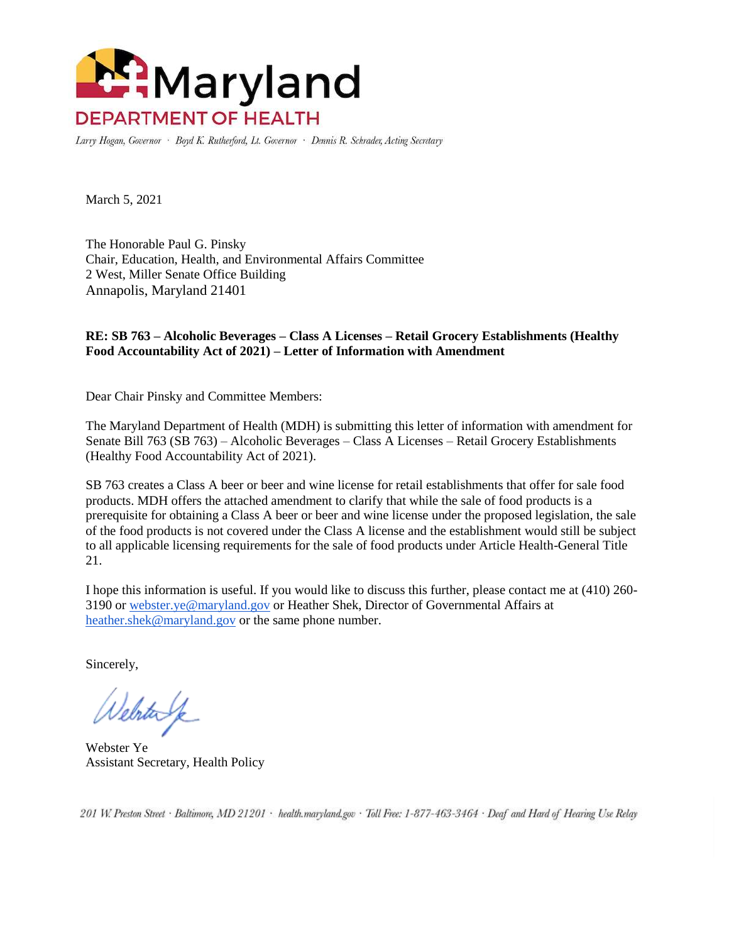

Larry Hogan, Governor · Boyd K. Rutherford, Lt. Governor · Dennis R. Schrader, Acting Secretary

March 5, 2021

The Honorable Paul G. Pinsky Chair, Education, Health, and Environmental Affairs Committee 2 West, Miller Senate Office Building Annapolis, Maryland 21401

## **RE: SB 763 – Alcoholic Beverages – Class A Licenses – Retail Grocery Establishments (Healthy Food Accountability Act of 2021) – Letter of Information with Amendment**

Dear Chair Pinsky and Committee Members:

The Maryland Department of Health (MDH) is submitting this letter of information with amendment for Senate Bill 763 (SB 763) – Alcoholic Beverages – Class A Licenses – Retail Grocery Establishments (Healthy Food Accountability Act of 2021).

SB 763 creates a Class A beer or beer and wine license for retail establishments that offer for sale food products. MDH offers the attached amendment to clarify that while the sale of food products is a prerequisite for obtaining a Class A beer or beer and wine license under the proposed legislation, the sale of the food products is not covered under the Class A license and the establishment would still be subject to all applicable licensing requirements for the sale of food products under Article Health-General Title 21.

I hope this information is useful. If you would like to discuss this further, please contact me at (410) 260- 3190 o[r webster.ye@maryland.gov](mailto:webster.ye@maryland.gov) or Heather Shek, Director of Governmental Affairs at [heather.shek@maryland.gov](mailto:heather.shek@maryland.gov) or the same phone number.

Sincerely,

Velstavk

Webster Ye Assistant Secretary, Health Policy

201 W. Preston Street · Baltimore, MD 21201 · health.maryland.gov · Toll Free: 1-877-463-3464 · Deaf and Hard of Hearing Use Relay